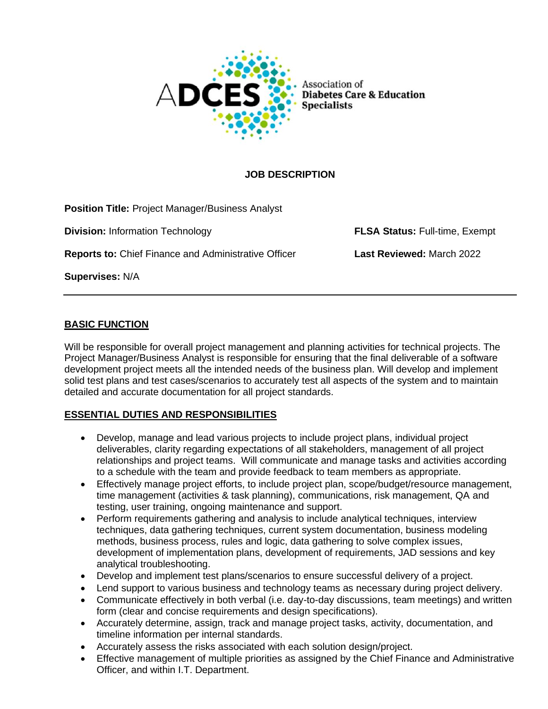

**Diabetes Care & Education** 

# **JOB DESCRIPTION**

**Position Title:** Project Manager/Business Analyst

**Division:** Information Technology **FLSA Status:** Full-time, Exempt

**Reports to:** Chief Finance and Administrative Officer **Last Reviewed:** March 2022

**Supervises:** N/A

# **BASIC FUNCTION**

Will be responsible for overall project management and planning activities for technical projects. The Project Manager/Business Analyst is responsible for ensuring that the final deliverable of a software development project meets all the intended needs of the business plan. Will develop and implement solid test plans and test cases/scenarios to accurately test all aspects of the system and to maintain detailed and accurate documentation for all project standards.

# **ESSENTIAL DUTIES AND RESPONSIBILITIES**

- Develop, manage and lead various projects to include project plans, individual project deliverables, clarity regarding expectations of all stakeholders, management of all project relationships and project teams. Will communicate and manage tasks and activities according to a schedule with the team and provide feedback to team members as appropriate.
- Effectively manage project efforts, to include project plan, scope/budget/resource management, time management (activities & task planning), communications, risk management, QA and testing, user training, ongoing maintenance and support.
- Perform requirements gathering and analysis to include analytical techniques, interview techniques, data gathering techniques, current system documentation, business modeling methods, business process, rules and logic, data gathering to solve complex issues, development of implementation plans, development of requirements, JAD sessions and key analytical troubleshooting.
- Develop and implement test plans/scenarios to ensure successful delivery of a project.
- Lend support to various business and technology teams as necessary during project delivery.
- Communicate effectively in both verbal (i.e. day-to-day discussions, team meetings) and written form (clear and concise requirements and design specifications).
- Accurately determine, assign, track and manage project tasks, activity, documentation, and timeline information per internal standards.
- Accurately assess the risks associated with each solution design/project.
- Effective management of multiple priorities as assigned by the Chief Finance and Administrative Officer, and within I.T. Department.